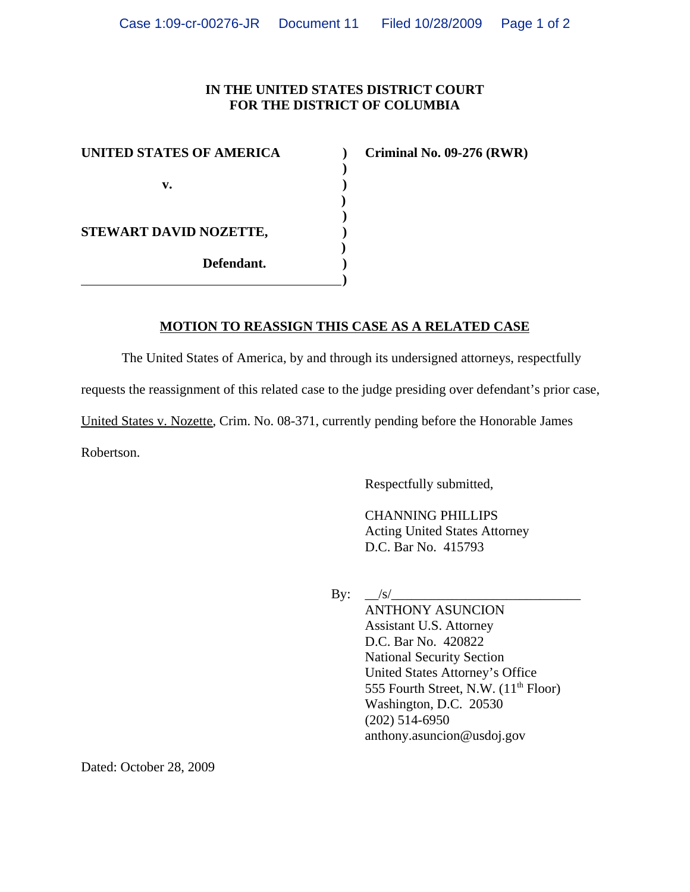## **IN THE UNITED STATES DISTRICT COURT FOR THE DISTRICT OF COLUMBIA**

**)**

 **) )**

| <b>UNITED STATES OF AMERICA</b>            |  |
|--------------------------------------------|--|
|                                            |  |
| v.<br>STEWART DAVID NOZETTE,<br>Defendant. |  |
|                                            |  |
|                                            |  |
|                                            |  |
|                                            |  |
|                                            |  |
|                                            |  |

**UNITED STATES INC. 09-276 (RWR)** 

## **MOTION TO REASSIGN THIS CASE AS A RELATED CASE**

The United States of America, by and through its undersigned attorneys, respectfully

requests the reassignment of this related case to the judge presiding over defendant's prior case,

United States v. Nozette, Crim. No. 08-371, currently pending before the Honorable James

Robertson.

Respectfully submitted,

CHANNING PHILLIPS Acting United States Attorney D.C. Bar No. 415793

By:  $\angle$ s/ $\angle$ 

ANTHONY ASUNCION Assistant U.S. Attorney D.C. Bar No. 420822 National Security Section United States Attorney's Office 555 Fourth Street, N.W.  $(11<sup>th</sup>$  Floor) Washington, D.C. 20530 (202) 514-6950 anthony.asuncion@usdoj.gov

Dated: October 28, 2009